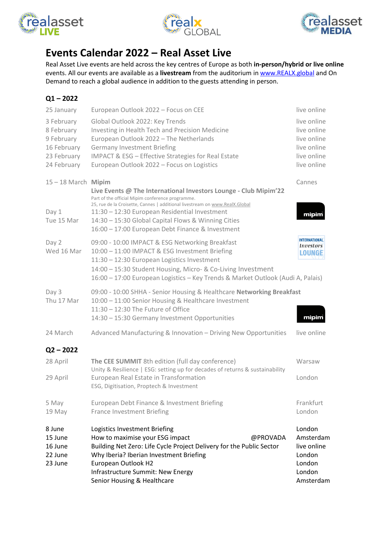





## **Events Calendar 2022 – Real Asset Live**

Real Asset Live events are held across the key centres of Europe as both **in-person/hybrid or live online** events. All our events are available as a **livestream** from the auditorium in [www.REALX.global](http://www.realx.global/) and On Demand to reach a global audience in addition to the guests attending in person.

| 8 June<br>15 June<br>16 June<br>22 June<br>23 June                                                | Logistics Investment Briefing<br>How to maximise your ESG impact<br>@PROVADA<br>Building Net Zero: Life Cycle Project Delivery for the Public Sector<br>Why Iberia? Iberian Investment Briefing<br>European Outlook H2<br>Infrastructure Summit: New Energy<br>Senior Housing & Healthcare                                                                      | London<br>Amsterdam<br>live online<br>London<br>London<br>London<br>Amsterdam                         |
|---------------------------------------------------------------------------------------------------|-----------------------------------------------------------------------------------------------------------------------------------------------------------------------------------------------------------------------------------------------------------------------------------------------------------------------------------------------------------------|-------------------------------------------------------------------------------------------------------|
| 5 May<br>19 May                                                                                   | European Debt Finance & Investment Briefing<br><b>France Investment Briefing</b>                                                                                                                                                                                                                                                                                | Frankfurt<br>London                                                                                   |
| 29 April                                                                                          | European Real Estate in Transformation<br>ESG, Digitisation, Proptech & Investment                                                                                                                                                                                                                                                                              | London                                                                                                |
| $Q2 - 2022$<br>28 April                                                                           | The CEE SUMMIT 8th edition (full day conference)<br>Unity & Resilience   ESG: setting up for decades of returns & sustainability                                                                                                                                                                                                                                | Warsaw                                                                                                |
| 24 March                                                                                          | Advanced Manufacturing & Innovation - Driving New Opportunities                                                                                                                                                                                                                                                                                                 | live online                                                                                           |
| Day 3<br>Thu 17 Mar                                                                               | 09:00 - 10:00 SHHA - Senior Housing & Healthcare Networking Breakfast<br>10:00 - 11:00 Senior Housing & Healthcare Investment<br>$11:30 - 12:30$ The Future of Office<br>14:30 - 15:30 Germany Investment Opportunities                                                                                                                                         | mipim                                                                                                 |
| Day 2<br>Wed 16 Mar                                                                               | 09:00 - 10:00 IMPACT & ESG Networking Breakfast<br>10:00 - 11:00 IMPACT & ESG Investment Briefing<br>11:30 - 12:30 European Logistics Investment<br>14:00 - 15:30 Student Housing, Micro- & Co-Living Investment<br>16:00 - 17:00 European Logistics - Key Trends & Market Outlook (Audi A, Palais)                                                             | <b>INTERNATIONAL</b><br><b>Investors</b><br>LOUNGE                                                    |
| $15 - 18$ March Mipim<br>Day 1<br>Tue 15 Mar                                                      | Live Events @ The International Investors Lounge - Club Mipim'22<br>Part of the official Mipim conference programme.<br>25, rue de la Croisette, Cannes   additional livestream on www.RealX.Global<br>11:30 - 12:30 European Residential Investment<br>14:30 - 15:30 Global Capital Flows & Winning Cities<br>16:00 - 17:00 European Debt Finance & Investment | Cannes<br>mipim                                                                                       |
| 25 January<br>3 February<br>8 February<br>9 February<br>16 February<br>23 February<br>24 February | European Outlook 2022 - Focus on CEE<br>Global Outlook 2022: Key Trends<br>Investing in Health Tech and Precision Medicine<br>European Outlook 2022 - The Netherlands<br><b>Germany Investment Briefing</b><br><b>IMPACT &amp; ESG - Effective Strategies for Real Estate</b><br>European Outlook 2022 - Focus on Logistics                                     | live online<br>live online<br>live online<br>live online<br>live online<br>live online<br>live online |
|                                                                                                   |                                                                                                                                                                                                                                                                                                                                                                 |                                                                                                       |